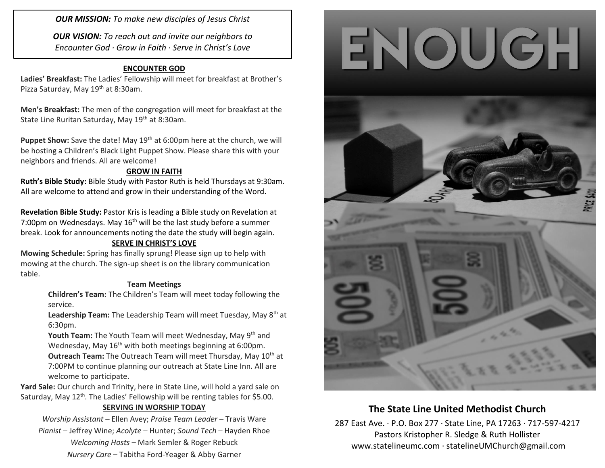*OUR MISSION: To make new disciples of Jesus Christ*

*OUR VISION: To reach out and invite our neighbors to Encounter God · Grow in Faith · Serve in Christ's Love*

### **ENCOUNTER GOD**

**Ladies' Breakfast:** The Ladies' Fellowship will meet for breakfast at Brother's Pizza Saturday, May 19<sup>th</sup> at 8:30am.

**Men's Breakfast:** The men of the congregation will meet for breakfast at the State Line Ruritan Saturday, May 19<sup>th</sup> at 8:30am.

**Puppet Show:** Save the date! May 19<sup>th</sup> at 6:00pm here at the church, we will be hosting a Children's Black Light Puppet Show. Please share this with your neighbors and friends. All are welcome!

#### **GROW IN FAITH**

**Ruth's Bible Study:** Bible Study with Pastor Ruth is held Thursdays at 9:30am. All are welcome to attend and grow in their understanding of the Word.

**Revelation Bible Study:** Pastor Kris is leading a Bible study on Revelation at 7:00pm on Wednesdays. May  $16<sup>th</sup>$  will be the last study before a summer break. Look for announcements noting the date the study will begin again.

#### **SERVE IN CHRIST'S LOVE**

**Mowing Schedule:** Spring has finally sprung! Please sign up to help with mowing at the church. The sign-up sheet is on the library communication table.

#### **Team Meetings**

**Children's Team:** The Children's Team will meet today following the service.

Leadership Team: The Leadership Team will meet Tuesday, May 8<sup>th</sup> at 6:30pm.

Youth Team: The Youth Team will meet Wednesday, May 9<sup>th</sup> and Wednesday, May 16<sup>th</sup> with both meetings beginning at 6:00pm. **Outreach Team:** The Outreach Team will meet Thursday, May 10<sup>th</sup> at 7:00PM to continue planning our outreach at State Line Inn. All are welcome to participate.

**Yard Sale:** Our church and Trinity, here in State Line, will hold a yard sale on Saturday, May 12<sup>th</sup>. The Ladies' Fellowship will be renting tables for \$5.00.

#### **SERVING IN WORSHIP TODAY**

*Worship Assistant* – Ellen Avey; *Praise Team Leader* – Travis Ware

*Pianist* – Jeffrey Wine; *Acolyte* – Hunter; *Sound Tech* – Hayden Rhoe *Welcoming Hosts* – Mark Semler & Roger Rebuck *Nursery Care* – Tabitha Ford-Yeager & Abby Garner





# **The State Line United Methodist Church**

287 East Ave. · P.O. Box 277 · State Line, PA 17263 · 717-597-4217 Pastors Kristopher R. Sledge & Ruth Hollister [www.statelineumc.com](http://www.statelineumc.com/) · statelineUMChurch@gmail.com